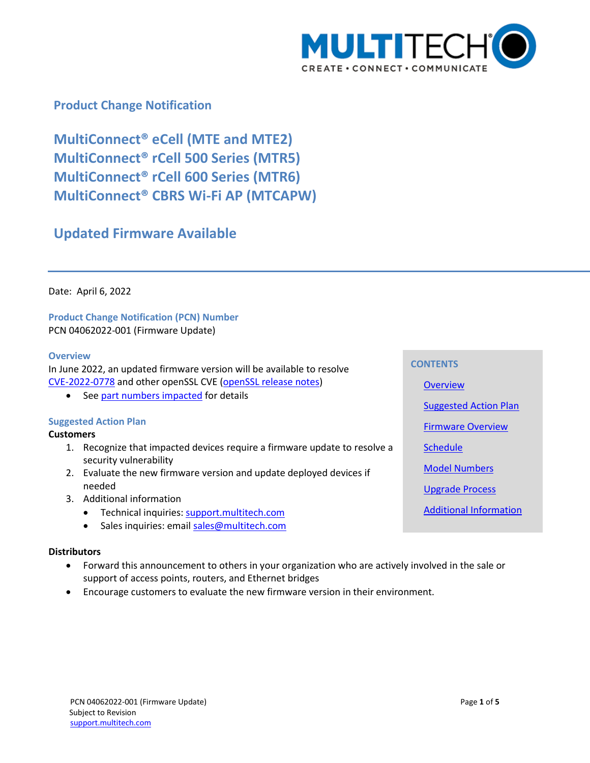

# **Product Change Notification**

**MultiConnect® eCell (MTE and MTE2) MultiConnect® rCell 500 Series (MTR5) MultiConnect® rCell 600 Series (MTR6) MultiConnect® CBRS Wi-Fi AP (MTCAPW)**

# **Updated Firmware Available**

Date: April 6, 2022

**Product Change Notification (PCN) Number**  PCN 04062022-001 (Firmware Update)

#### <span id="page-0-0"></span>**Overview**

In June 2022, an updated firmware version will be available to resolve [CVE-2022-0778](https://nvd.nist.gov/vuln/detail/CVE-2022-0778) and other openSSL CVE [\(openSSL](https://www.openssl.org/news/openssl-1.1.1-notes.html) release notes)

• See part numbers [impacted](#page-1-0) for details

## <span id="page-0-1"></span>**Suggested Action Plan**

## **Customers**

- 1. Recognize that impacted devices require a firmware update to resolve a security vulnerability
- 2. Evaluate the new firmware version and update deployed devices if needed
- 3. Additional information
	- Technical inquiries: support.multitech.com
	- Sales inquiries: emai[l sales@multitech.com](mailto:sales@multitech.com?subject=mPower%205.3.7%20and%20Conduit%20with%20Substitute%20Components)

#### **Distributors**

- Forward this announcement to others in your organization who are actively involved in the sale or support of access points, routers, and Ethernet bridges
- Encourage customers to evaluate the new firmware version in their environment.

**CONTENTS [Overview](#page-0-0)** [Suggested Action Plan](#page-0-1) [Firmware Overview](#page-1-1) **[Schedule](#page-1-2)** [Model Numbers](#page-1-0) [Upgrade Process](#page-1-3) [Additional Information](#page-2-0)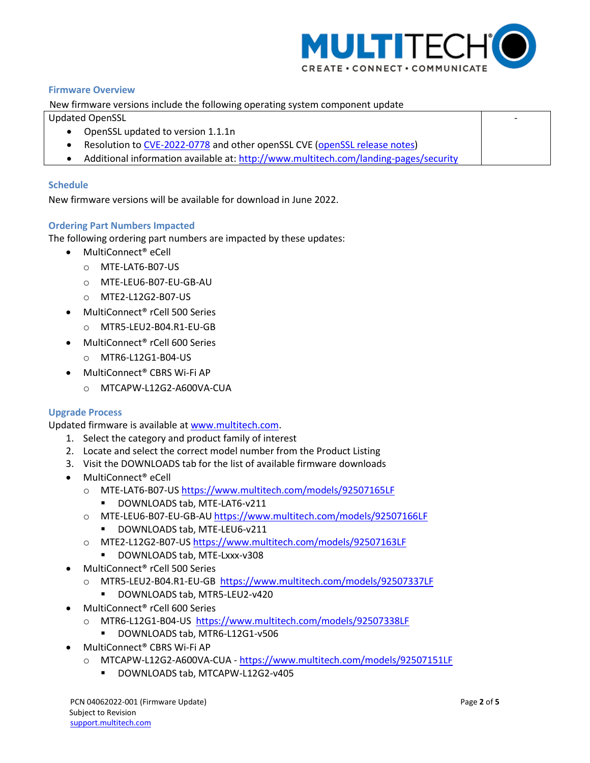

-

## <span id="page-1-1"></span>**Firmware Overview**

New firmware versions include the following operating system component update

Updated OpenSSL

- OpenSSL updated to version 1.1.1n
- Resolution to [CVE-2022-0778](https://nvd.nist.gov/vuln/detail/CVE-2022-0778) and other openSSL CVE [\(openSSL release notes\)](https://www.openssl.org/news/openssl-1.1.1-notes.html)
- Additional information available at:<http://www.multitech.com/landing-pages/security>

## <span id="page-1-2"></span>**Schedule**

New firmware versions will be available for download in June 2022.

## <span id="page-1-0"></span>**Ordering Part Numbers Impacted**

The following ordering part numbers are impacted by these updates:

- MultiConnect<sup>®</sup> eCell
	- o MTE-LAT6-B07-US
	- o MTE-LEU6-B07-EU-GB-AU
	- o MTE2-L12G2-B07-US
- MultiConnect® rCell 500 Series
	- o MTR5-LEU2-B04.R1-EU-GB
- MultiConnect® rCell 600 Series
	- o MTR6-L12G1-B04-US
- MultiConnect® CBRS Wi-Fi AP
	- o MTCAPW-L12G2-A600VA-CUA

#### <span id="page-1-3"></span>**Upgrade Process**

Updated firmware is available at [www.multitech.com.](http://www.multitech.com/)

- 1. Select the category and product family of interest
- 2. Locate and select the correct model number from the Product Listing
- 3. Visit the DOWNLOADS tab for the list of available firmware downloads
- MultiConnect® eCell
	- o MTE-LAT6-B07-US<https://www.multitech.com/models/92507165LF>
		- **DOWNLOADS tab, MTE-LAT6-v211**
	- o MTE-LEU6-B07-EU-GB-A[U https://www.multitech.com/models/92507166LF](https://www.multitech.com/models/92507166LF)
		- **DOWNLOADS tab, MTE-LEU6-v211**
	- o MTE2-L12G2-B07-US <https://www.multitech.com/models/92507163LF>
		- DOWNLOADS tab, MTE-Lxxx-v308
- MultiConnect® rCell 500 Series
	- o MTR5-LEU2-B04.R1-EU-GB<https://www.multitech.com/models/92507337LF>
		- DOWNLOADS tab, MTR5-LEU2-v420
- MultiConnect® rCell 600 Series
	- o MTR6-L12G1-B04-US <https://www.multitech.com/models/92507338LF>
	- DOWNLOADS tab, MTR6-L12G1-v506
- MultiConnect® CBRS Wi-Fi AP
	- o MTCAPW-L12G2-A600VA-CUA <https://www.multitech.com/models/92507151LF>
		- DOWNLOADS tab, MTCAPW-L12G2-v405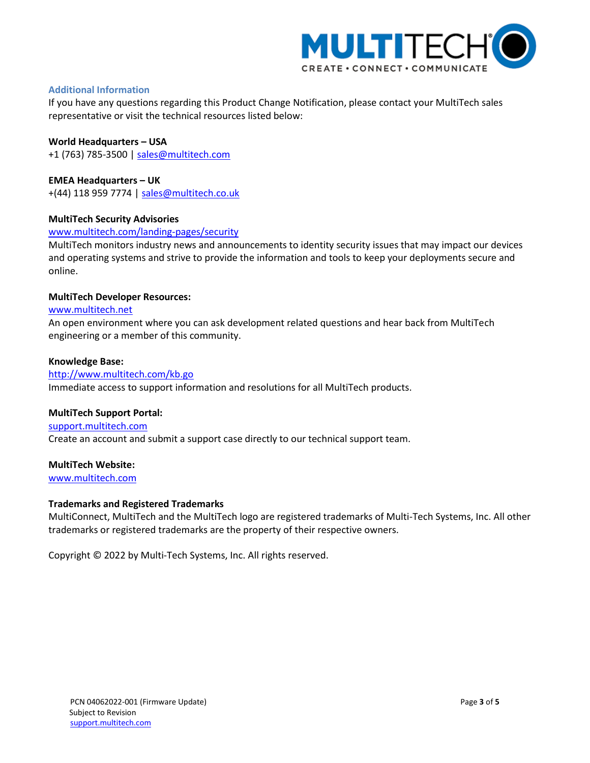

## <span id="page-2-0"></span>**Additional Information**

If you have any questions regarding this Product Change Notification, please contact your MultiTech sales representative or visit the technical resources listed below:

## **World Headquarters – USA**

+1 (763) 785-3500 | [sales@multitech.com](mailto:sales@multitech.com)

## **EMEA Headquarters – UK**

+(44) 118 959 7774 | [sales@multitech.co.uk](mailto:sales@multitech.co.uk)

## **MultiTech Security Advisories**

#### [www.multitech.com/landing-pages/security](http://www.multitech.com/landing-pages/security)

MultiTech monitors industry news and announcements to identity security issues that may impact our devices and operating systems and strive to provide the information and tools to keep your deployments secure and online.

#### **MultiTech Developer Resources:**

#### [www.multitech.net](http://www.multitech.net/)

An open environment where you can ask development related questions and hear back from MultiTech engineering or a member of this community.

#### **Knowledge Base:**

#### <http://www.multitech.com/kb.go>

Immediate access to support information and resolutions for all MultiTech products.

## **MultiTech Support Portal:**

[support.multitech.com](https://support.multitech.com/) Create an account and submit a support case directly to our technical support team.

## **MultiTech Website:**

[www.multitech.com](http://www.multitech.com/)

## **Trademarks and Registered Trademarks**

MultiConnect, MultiTech and the MultiTech logo are registered trademarks of Multi-Tech Systems, Inc. All other trademarks or registered trademarks are the property of their respective owners.

Copyright © 2022 by Multi-Tech Systems, Inc. All rights reserved.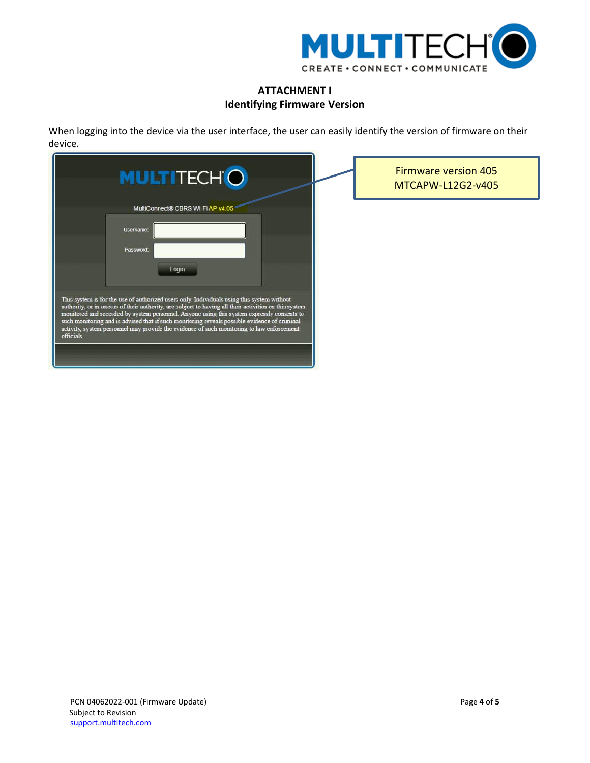

# **ATTACHMENT I Identifying Firmware Version**

When logging into the device via the user interface, the user can easily identify the version of firmware on their device.

| <b>MULTITECHO</b>                                                                                                                                                                                                                                                                                                                                                                                                                                                                                                                                                                  | <b>Firmware version 405</b><br>MTCAPW-L12G2-v405 |
|------------------------------------------------------------------------------------------------------------------------------------------------------------------------------------------------------------------------------------------------------------------------------------------------------------------------------------------------------------------------------------------------------------------------------------------------------------------------------------------------------------------------------------------------------------------------------------|--------------------------------------------------|
| MultiConnect® CBRS Wi-Fi AP v4.0<br>Usemame:<br>Password:<br>Login<br>This system is for the use of authorized users only. Individuals using this system without<br>authority, or in excess of their authority, are subject to having all their activities on this system<br>monitored and recorded by system personnel. Anyone using this system expressly consents to<br>such monitoring and is advised that if such monitoring reveals possible evidence of criminal<br>activity, system personnel may provide the evidence of such monitoring to law enforcement<br>officials. |                                                  |